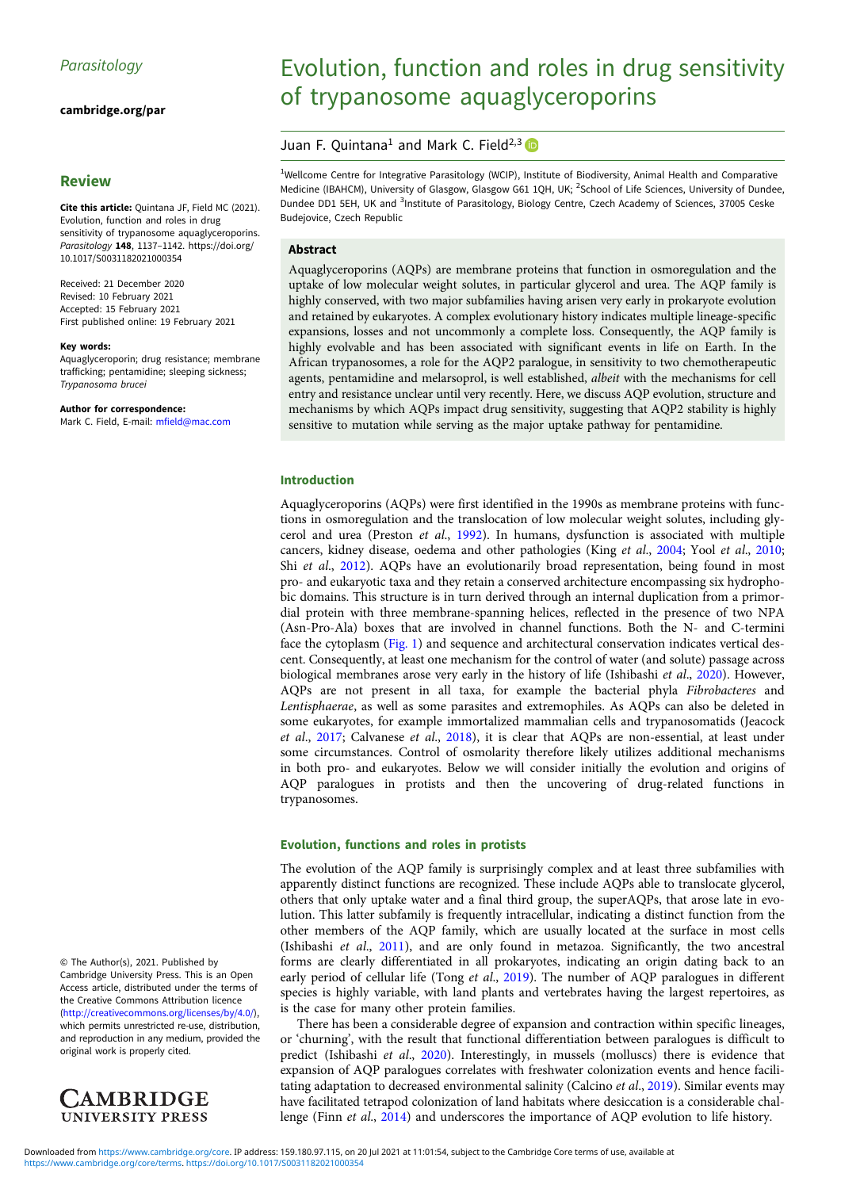[cambridge.org/par](https://www.cambridge.org/par)

# Review

Cite this article: Quintana JF, Field MC (2021). Evolution, function and roles in drug sensitivity of trypanosome aquaglyceroporins. Parasitology 148, 1137-1142. [https://doi.org/](https://doi.org/10.1017/S0031182021000354) [10.1017/S0031182021000354](https://doi.org/10.1017/S0031182021000354)

Received: 21 December 2020 Revised: 10 February 2021 Accepted: 15 February 2021 First published online: 19 February 2021

#### Key words:

Aquaglyceroporin; drug resistance; membrane trafficking; pentamidine; sleeping sickness; Trypanosoma brucei Trypanosoma brucei

Author for correspondence: Mark C. Field, E-mail: [mfield@mac.com](mailto:mfield@mac.com)

© The Author(s), 2021. Published by Cambridge University Press. This is an Open Access article, distributed under the terms of the Creative Commons Attribution licence ([http://creativecommons.org/licenses/by/4.0/\)](http://creativecommons.org/licenses/by/4.0/), which permits unrestricted re-use, distribution, and reproduction in any medium, provided the original work is properly cited.



# Evolution, function and roles in drug sensitivity of trypanosome aquaglyceroporins

# Juan F. Quintana<sup>1</sup> and Mark C. Field<sup>2,3</sup>

<sup>1</sup>Wellcome Centre for Integrative Parasitology (WCIP), Institute of Biodiversity, Animal Health and Comparative Medicine (IBAHCM), University of Glasgow, Glasgow G61 1QH, UK; <sup>2</sup>School of Life Sciences, University of Dundee, Dundee DD1 5EH, UK and <sup>3</sup>Institute of Parasitology, Biology Centre, Czech Academy of Sciences, 37005 Ceske Budejovice, Czech Republic

## Abstract

Aquaglyceroporins (AQPs) are membrane proteins that function in osmoregulation and the uptake of low molecular weight solutes, in particular glycerol and urea. The AQP family is highly conserved, with two major subfamilies having arisen very early in prokaryote evolution and retained by eukaryotes. A complex evolutionary history indicates multiple lineage-specific expansions, losses and not uncommonly a complete loss. Consequently, the AQP family is highly evolvable and has been associated with significant events in life on Earth. In the African trypanosomes, a role for the AQP2 paralogue, in sensitivity to two chemotherapeutic agents, pentamidine and melarsoprol, is well established, albeit with the mechanisms for cell entry and resistance unclear until very recently. Here, we discuss AQP evolution, structure and mechanisms by which AQPs impact drug sensitivity, suggesting that AQP2 stability is highly sensitive to mutation while serving as the major uptake pathway for pentamidine.

#### Introduction

Aquaglyceroporins (AQPs) were first identified in the 1990s as membrane proteins with functions in osmoregulation and the translocation of low molecular weight solutes, including glycerol and urea (Preston et al., [1992](#page-5-0)). In humans, dysfunction is associated with multiple cancers, kidney disease, oedema and other pathologies (King et al., [2004](#page-5-0); Yool et al., [2010](#page-5-0); Shi et al., [2012](#page-5-0)). AQPs have an evolutionarily broad representation, being found in most pro- and eukaryotic taxa and they retain a conserved architecture encompassing six hydrophobic domains. This structure is in turn derived through an internal duplication from a primordial protein with three membrane-spanning helices, reflected in the presence of two NPA (Asn-Pro-Ala) boxes that are involved in channel functions. Both the N- and C-termini face the cytoplasm ([Fig. 1\)](#page-1-0) and sequence and architectural conservation indicates vertical descent. Consequently, at least one mechanism for the control of water (and solute) passage across biological membranes arose very early in the history of life (Ishibashi et al., [2020](#page-5-0)). However, AQPs are not present in all taxa, for example the bacterial phyla Fibrobacteres and Lentisphaerae, as well as some parasites and extremophiles. As AQPs can also be deleted in some eukaryotes, for example immortalized mammalian cells and trypanosomatids (Jeacock et al., [2017](#page-5-0); Calvanese et al., [2018](#page-4-0)), it is clear that AQPs are non-essential, at least under some circumstances. Control of osmolarity therefore likely utilizes additional mechanisms in both pro- and eukaryotes. Below we will consider initially the evolution and origins of AQP paralogues in protists and then the uncovering of drug-related functions in trypanosomes.

## Evolution, functions and roles in protists

The evolution of the AQP family is surprisingly complex and at least three subfamilies with apparently distinct functions are recognized. These include AQPs able to translocate glycerol, others that only uptake water and a final third group, the superAQPs, that arose late in evolution. This latter subfamily is frequently intracellular, indicating a distinct function from the other members of the AQP family, which are usually located at the surface in most cells (Ishibashi et al., [2011\)](#page-5-0), and are only found in metazoa. Significantly, the two ancestral forms are clearly differentiated in all prokaryotes, indicating an origin dating back to an early period of cellular life (Tong et al., [2019\)](#page-5-0). The number of AQP paralogues in different species is highly variable, with land plants and vertebrates having the largest repertoires, as is the case for many other protein families.

There has been a considerable degree of expansion and contraction within specific lineages, or 'churning', with the result that functional differentiation between paralogues is difficult to predict (Ishibashi et al., [2020](#page-5-0)). Interestingly, in mussels (molluscs) there is evidence that expansion of AQP paralogues correlates with freshwater colonization events and hence facilitating adaptation to decreased environmental salinity (Calcino et al., [2019\)](#page-4-0). Similar events may have facilitated tetrapod colonization of land habitats where desiccation is a considerable challenge (Finn et al., [2014\)](#page-4-0) and underscores the importance of AQP evolution to life history.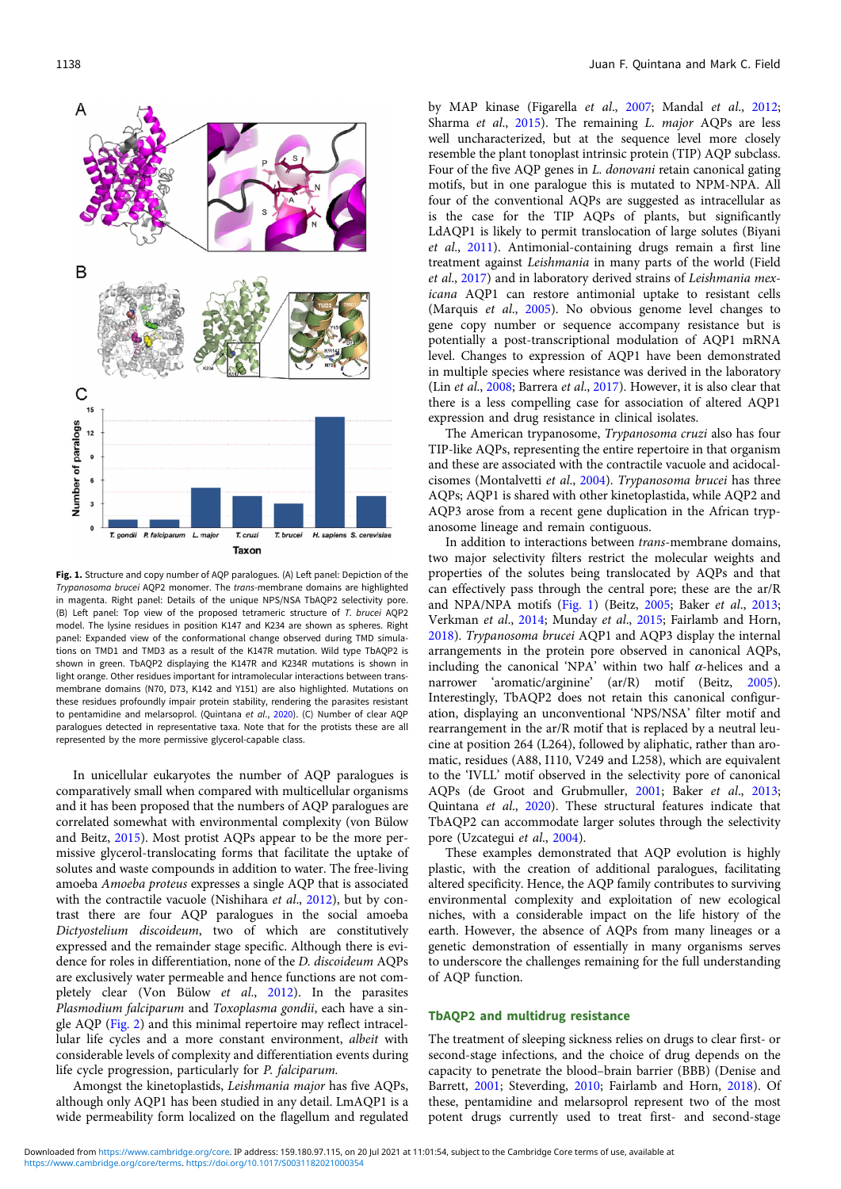<span id="page-1-0"></span>

Fig. 1. Structure and copy number of AQP paralogues. (A) Left panel: Depiction of the Trypanosoma brucei AQP2 monomer. The trans-membrane domains are highlighted in magenta. Right panel: Details of the unique NPS/NSA TbAQP2 selectivity pore. (B) Left panel: Top view of the proposed tetrameric structure of T. brucei AQP2 model. The lysine residues in position K147 and K234 are shown as spheres. Right panel: Expanded view of the conformational change observed during TMD simulations on TMD1 and TMD3 as a result of the K147R mutation. Wild type TbAQP2 is shown in green. TbAQP2 displaying the K147R and K234R mutations is shown in light orange. Other residues important for intramolecular interactions between transmembrane domains (N70, D73, K142 and Y151) are also highlighted. Mutations on these residues profoundly impair protein stability, rendering the parasites resistant to pentamidine and melarsoprol. (Quintana et al., [2020](#page-5-0)). (C) Number of clear AQP paralogues detected in representative taxa. Note that for the protists these are all represented by the more permissive glycerol-capable class.

In unicellular eukaryotes the number of AQP paralogues is comparatively small when compared with multicellular organisms and it has been proposed that the numbers of AQP paralogues are correlated somewhat with environmental complexity (von Bülow and Beitz, [2015](#page-5-0)). Most protist AQPs appear to be the more permissive glycerol-translocating forms that facilitate the uptake of solutes and waste compounds in addition to water. The free-living amoeba Amoeba proteus expresses a single AQP that is associated with the contractile vacuole (Nishihara et al., [2012](#page-5-0)), but by contrast there are four AQP paralogues in the social amoeba Dictyostelium discoideum, two of which are constitutively expressed and the remainder stage specific. Although there is evidence for roles in differentiation, none of the D. discoideum AQPs are exclusively water permeable and hence functions are not com-pletely clear (Von Bülow et al., [2012\)](#page-5-0). In the parasites Plasmodium falciparum and Toxoplasma gondii, each have a single AQP ([Fig. 2](#page-2-0)) and this minimal repertoire may reflect intracellular life cycles and a more constant environment, albeit with considerable levels of complexity and differentiation events during life cycle progression, particularly for P. falciparum.

Amongst the kinetoplastids, Leishmania major has five AQPs, although only AQP1 has been studied in any detail. LmAQP1 is a wide permeability form localized on the flagellum and regulated by MAP kinase (Figarella et al., [2007](#page-4-0); Mandal et al., [2012;](#page-5-0) Sharma et al., [2015\)](#page-5-0). The remaining L. major AQPs are less well uncharacterized, but at the sequence level more closely resemble the plant tonoplast intrinsic protein (TIP) AQP subclass. Four of the five AQP genes in L. donovani retain canonical gating motifs, but in one paralogue this is mutated to NPM-NPA. All four of the conventional AQPs are suggested as intracellular as is the case for the TIP AQPs of plants, but significantly LdAQP1 is likely to permit translocation of large solutes (Biyani et al., [2011](#page-4-0)). Antimonial-containing drugs remain a first line treatment against Leishmania in many parts of the world (Field et al., [2017\)](#page-4-0) and in laboratory derived strains of Leishmania mexicana AQP1 can restore antimonial uptake to resistant cells (Marquis et al., [2005](#page-5-0)). No obvious genome level changes to gene copy number or sequence accompany resistance but is potentially a post-transcriptional modulation of AQP1 mRNA level. Changes to expression of AQP1 have been demonstrated in multiple species where resistance was derived in the laboratory (Lin et al., [2008;](#page-5-0) Barrera et al., [2017](#page-4-0)). However, it is also clear that there is a less compelling case for association of altered AQP1 expression and drug resistance in clinical isolates.

The American trypanosome, Trypanosoma cruzi also has four TIP-like AQPs, representing the entire repertoire in that organism and these are associated with the contractile vacuole and acidocalcisomes (Montalvetti et al., [2004\)](#page-5-0). Trypanosoma brucei has three AQPs; AQP1 is shared with other kinetoplastida, while AQP2 and AQP3 arose from a recent gene duplication in the African trypanosome lineage and remain contiguous.

In addition to interactions between trans-membrane domains, two major selectivity filters restrict the molecular weights and properties of the solutes being translocated by AQPs and that can effectively pass through the central pore; these are the ar/R and NPA/NPA motifs (Fig. 1) (Beitz, [2005;](#page-4-0) Baker et al., [2013;](#page-4-0) Verkman et al., [2014](#page-5-0); Munday et al., [2015](#page-5-0); Fairlamb and Horn, [2018\)](#page-4-0). Trypanosoma brucei AQP1 and AQP3 display the internal arrangements in the protein pore observed in canonical AQPs, including the canonical 'NPA' within two half  $\alpha$ -helices and a narrower 'aromatic/arginine' (ar/R) motif (Beitz, [2005](#page-4-0)). Interestingly, TbAQP2 does not retain this canonical configuration, displaying an unconventional 'NPS/NSA' filter motif and rearrangement in the ar/R motif that is replaced by a neutral leucine at position 264 (L264), followed by aliphatic, rather than aromatic, residues (A88, I110, V249 and L258), which are equivalent to the 'IVLL' motif observed in the selectivity pore of canonical AQPs (de Groot and Grubmuller, [2001](#page-4-0); Baker et al., [2013;](#page-4-0) Quintana et al., [2020](#page-5-0)). These structural features indicate that TbAQP2 can accommodate larger solutes through the selectivity pore (Uzcategui et al., [2004\)](#page-5-0).

These examples demonstrated that AQP evolution is highly plastic, with the creation of additional paralogues, facilitating altered specificity. Hence, the AQP family contributes to surviving environmental complexity and exploitation of new ecological niches, with a considerable impact on the life history of the earth. However, the absence of AQPs from many lineages or a genetic demonstration of essentially in many organisms serves to underscore the challenges remaining for the full understanding of AQP function.

## TbAQP2 and multidrug resistance

The treatment of sleeping sickness relies on drugs to clear first- or second-stage infections, and the choice of drug depends on the capacity to penetrate the blood–brain barrier (BBB) (Denise and Barrett, [2001](#page-4-0); Steverding, [2010;](#page-5-0) Fairlamb and Horn, [2018](#page-4-0)). Of these, pentamidine and melarsoprol represent two of the most potent drugs currently used to treat first- and second-stage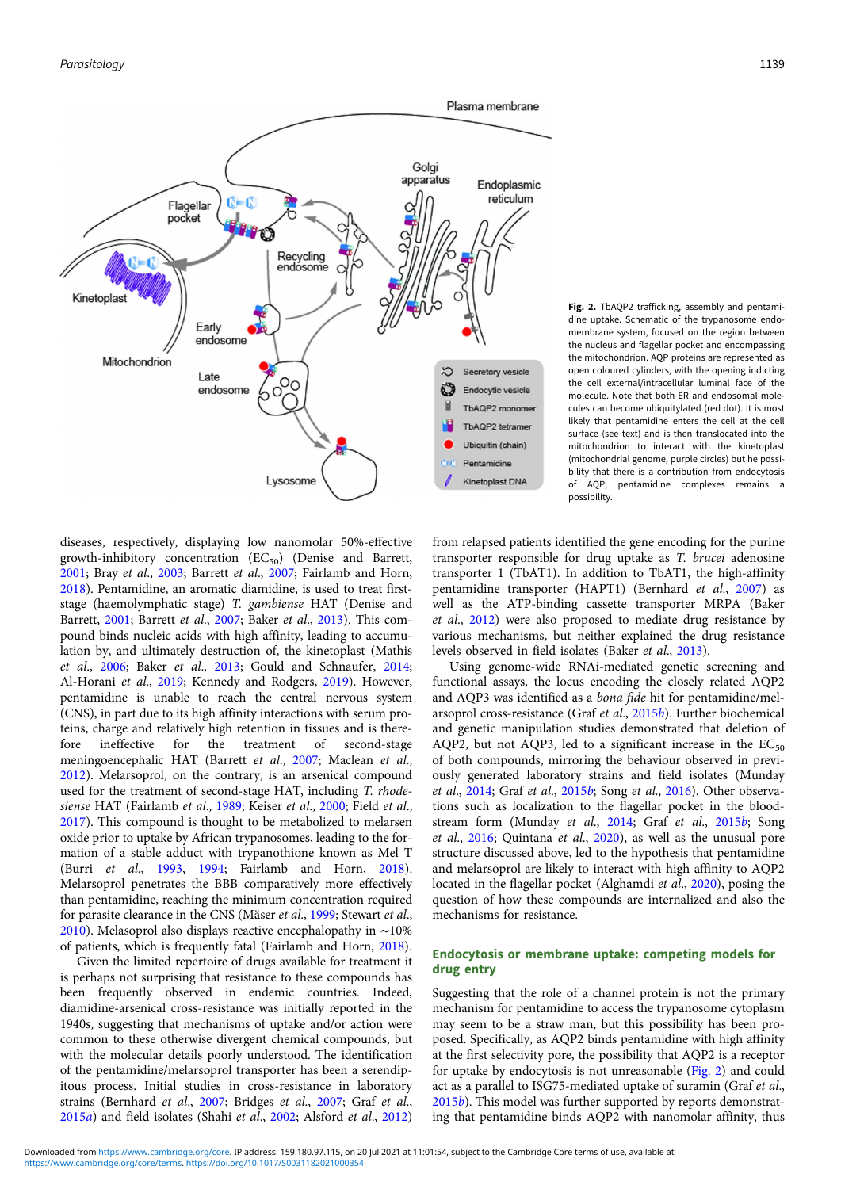<span id="page-2-0"></span>

Fig. 2. TbAQP2 trafficking, assembly and pentamidine uptake. Schematic of the trypanosome endomembrane system, focused on the region between the nucleus and flagellar pocket and encompassing the mitochondrion. AQP proteins are represented as open coloured cylinders, with the opening indicting the cell external/intracellular luminal face of the molecule. Note that both ER and endosomal molecules can become ubiquitylated (red dot). It is most likely that pentamidine enters the cell at the cell surface (see text) and is then translocated into the mitochondrion to interact with the kinetoplast (mitochondrial genome, purple circles) but he possibility that there is a contribution from endocytosis of AQP; pentamidine complexes remains a possibility.

diseases, respectively, displaying low nanomolar 50%-effective growth-inhibitory concentration  $(EC_{50})$  (Denise and Barrett, [2001;](#page-4-0) Bray et al., [2003;](#page-4-0) Barrett et al., [2007](#page-4-0); Fairlamb and Horn, [2018\)](#page-4-0). Pentamidine, an aromatic diamidine, is used to treat firststage (haemolymphatic stage) T. gambiense HAT (Denise and Barrett, [2001](#page-4-0); Barrett et al., [2007](#page-4-0); Baker et al., [2013](#page-4-0)). This compound binds nucleic acids with high affinity, leading to accumulation by, and ultimately destruction of, the kinetoplast (Mathis et al., [2006](#page-5-0); Baker et al., [2013](#page-4-0); Gould and Schnaufer, [2014;](#page-4-0) Al-Horani et al., [2019;](#page-4-0) Kennedy and Rodgers, [2019\)](#page-5-0). However, pentamidine is unable to reach the central nervous system (CNS), in part due to its high affinity interactions with serum proteins, charge and relatively high retention in tissues and is therefore ineffective for the treatment of second-stage meningoencephalic HAT (Barrett et al., [2007](#page-4-0); Maclean et al., [2012\)](#page-5-0). Melarsoprol, on the contrary, is an arsenical compound used for the treatment of second-stage HAT, including T. rhode-siense HAT (Fairlamb et al., [1989](#page-4-0); Keiser et al., [2000;](#page-5-0) Field et al., [2017\)](#page-4-0). This compound is thought to be metabolized to melarsen oxide prior to uptake by African trypanosomes, leading to the formation of a stable adduct with trypanothione known as Mel T (Burri et al., [1993](#page-4-0), [1994;](#page-4-0) Fairlamb and Horn, [2018\)](#page-4-0). Melarsoprol penetrates the BBB comparatively more effectively than pentamidine, reaching the minimum concentration required for parasite clearance in the CNS (Mäser et al., [1999;](#page-5-0) Stewart et al., [2010\)](#page-5-0). Melasoprol also displays reactive encephalopathy in ∼10% of patients, which is frequently fatal (Fairlamb and Horn, [2018](#page-4-0)).

Given the limited repertoire of drugs available for treatment it is perhaps not surprising that resistance to these compounds has been frequently observed in endemic countries. Indeed, diamidine-arsenical cross-resistance was initially reported in the 1940s, suggesting that mechanisms of uptake and/or action were common to these otherwise divergent chemical compounds, but with the molecular details poorly understood. The identification of the pentamidine/melarsoprol transporter has been a serendipitous process. Initial studies in cross-resistance in laboratory strains (Bernhard et al., [2007](#page-4-0); Bridges et al., [2007;](#page-4-0) Graf et al., [2015](#page-5-0)a) and field isolates (Shahi et al., [2002;](#page-5-0) Alsford et al., [2012\)](#page-4-0)

from relapsed patients identified the gene encoding for the purine transporter responsible for drug uptake as T. brucei adenosine transporter 1 (TbAT1). In addition to TbAT1, the high-affinity pentamidine transporter (HAPT1) (Bernhard et al., [2007](#page-4-0)) as well as the ATP-binding cassette transporter MRPA (Baker et al., [2012](#page-4-0)) were also proposed to mediate drug resistance by various mechanisms, but neither explained the drug resistance levels observed in field isolates (Baker et al., [2013](#page-4-0)).

Using genome-wide RNAi-mediated genetic screening and functional assays, the locus encoding the closely related AQP2 and AQP3 was identified as a bona fide hit for pentamidine/melarsoprol cross-resistance (Graf et al., [2015](#page-5-0)b). Further biochemical and genetic manipulation studies demonstrated that deletion of AQP2, but not AQP3, led to a significant increase in the  $EC_{50}$ of both compounds, mirroring the behaviour observed in previously generated laboratory strains and field isolates (Munday et al., [2014](#page-5-0); Graf et al., [2015](#page-5-0)b; Song et al., [2016](#page-5-0)). Other observations such as localization to the flagellar pocket in the bloodstream form (Munday et al., [2014](#page-5-0); Graf et al., [2015](#page-5-0)b; Song et al., [2016;](#page-5-0) Quintana et al., [2020\)](#page-5-0), as well as the unusual pore structure discussed above, led to the hypothesis that pentamidine and melarsoprol are likely to interact with high affinity to AQP2 located in the flagellar pocket (Alghamdi et al., [2020\)](#page-4-0), posing the question of how these compounds are internalized and also the mechanisms for resistance.

## Endocytosis or membrane uptake: competing models for drug entry

Suggesting that the role of a channel protein is not the primary mechanism for pentamidine to access the trypanosome cytoplasm may seem to be a straw man, but this possibility has been proposed. Specifically, as AQP2 binds pentamidine with high affinity at the first selectivity pore, the possibility that AQP2 is a receptor for uptake by endocytosis is not unreasonable (Fig. 2) and could act as a parallel to ISG75-mediated uptake of suramin (Graf et al., [2015](#page-5-0)b). This model was further supported by reports demonstrating that pentamidine binds AQP2 with nanomolar affinity, thus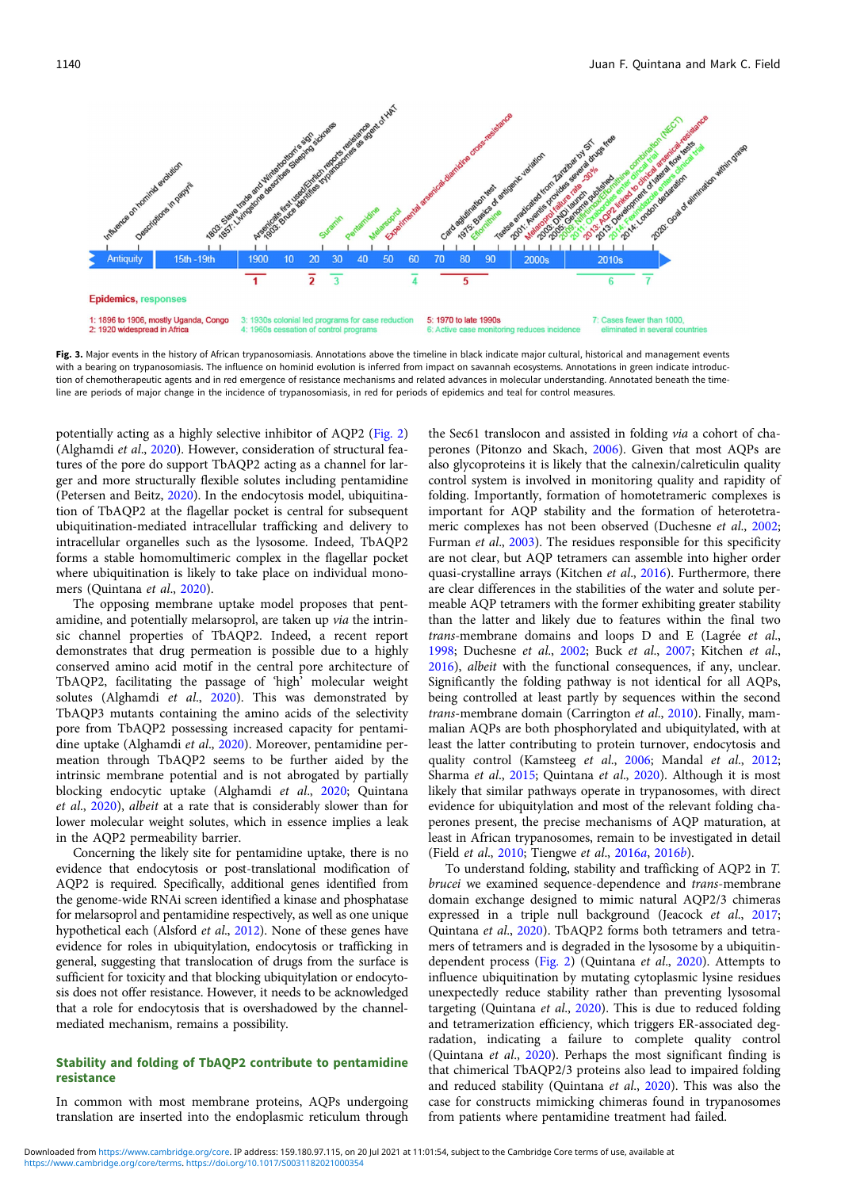<span id="page-3-0"></span>

Fig. 3. Major events in the history of African trypanosomiasis. Annotations above the timeline in black indicate major cultural, historical and management events with a bearing on trypanosomiasis. The influence on hominid evolution is inferred from impact on savannah ecosystems. Annotations in green indicate introduction of chemotherapeutic agents and in red emergence of resistance mechanisms and related advances in molecular understanding. Annotated beneath the timeline are periods of major change in the incidence of trypanosomiasis, in red for periods of epidemics and teal for control measures.

potentially acting as a highly selective inhibitor of AQP2 [\(Fig. 2\)](#page-2-0) (Alghamdi et al., [2020\)](#page-4-0). However, consideration of structural features of the pore do support TbAQP2 acting as a channel for larger and more structurally flexible solutes including pentamidine (Petersen and Beitz, [2020\)](#page-5-0). In the endocytosis model, ubiquitination of TbAQP2 at the flagellar pocket is central for subsequent ubiquitination-mediated intracellular trafficking and delivery to intracellular organelles such as the lysosome. Indeed, TbAQP2 forms a stable homomultimeric complex in the flagellar pocket where ubiquitination is likely to take place on individual mono-mers (Quintana et al., [2020\)](#page-5-0).

The opposing membrane uptake model proposes that pentamidine, and potentially melarsoprol, are taken up *via* the intrinsic channel properties of TbAQP2. Indeed, a recent report demonstrates that drug permeation is possible due to a highly conserved amino acid motif in the central pore architecture of TbAQP2, facilitating the passage of 'high' molecular weight solutes (Alghamdi et al., [2020](#page-4-0)). This was demonstrated by TbAQP3 mutants containing the amino acids of the selectivity pore from TbAQP2 possessing increased capacity for pentami-dine uptake (Alghamdi et al., [2020\)](#page-4-0). Moreover, pentamidine permeation through TbAQP2 seems to be further aided by the intrinsic membrane potential and is not abrogated by partially blocking endocytic uptake (Alghamdi et al., [2020;](#page-4-0) Quintana et al., [2020\)](#page-5-0), albeit at a rate that is considerably slower than for lower molecular weight solutes, which in essence implies a leak in the AQP2 permeability barrier.

Concerning the likely site for pentamidine uptake, there is no evidence that endocytosis or post-translational modification of AQP2 is required. Specifically, additional genes identified from the genome-wide RNAi screen identified a kinase and phosphatase for melarsoprol and pentamidine respectively, as well as one unique hypothetical each (Alsford et al., [2012\)](#page-4-0). None of these genes have evidence for roles in ubiquitylation, endocytosis or trafficking in general, suggesting that translocation of drugs from the surface is sufficient for toxicity and that blocking ubiquitylation or endocytosis does not offer resistance. However, it needs to be acknowledged that a role for endocytosis that is overshadowed by the channelmediated mechanism, remains a possibility.

# Stability and folding of TbAQP2 contribute to pentamidine resistance

In common with most membrane proteins, AQPs undergoing translation are inserted into the endoplasmic reticulum through

the Sec61 translocon and assisted in folding via a cohort of chaperones (Pitonzo and Skach, [2006\)](#page-5-0). Given that most AQPs are also glycoproteins it is likely that the calnexin/calreticulin quality control system is involved in monitoring quality and rapidity of folding. Importantly, formation of homotetrameric complexes is important for AQP stability and the formation of heterotetra-meric complexes has not been observed (Duchesne et al., [2002;](#page-4-0) Furman et al., [2003\)](#page-4-0). The residues responsible for this specificity are not clear, but AQP tetramers can assemble into higher order quasi-crystalline arrays (Kitchen et al., [2016\)](#page-5-0). Furthermore, there are clear differences in the stabilities of the water and solute permeable AQP tetramers with the former exhibiting greater stability than the latter and likely due to features within the final two trans-membrane domains and loops D and E (Lagrée et al., [1998;](#page-5-0) Duchesne et al., [2002;](#page-4-0) Buck et al., [2007;](#page-4-0) Kitchen et al., [2016\)](#page-5-0), albeit with the functional consequences, if any, unclear. Significantly the folding pathway is not identical for all AQPs, being controlled at least partly by sequences within the second trans-membrane domain (Carrington et al., [2010](#page-4-0)). Finally, mammalian AQPs are both phosphorylated and ubiquitylated, with at least the latter contributing to protein turnover, endocytosis and quality control (Kamsteeg et al., [2006;](#page-5-0) Mandal et al., [2012;](#page-5-0) Sharma et al., [2015](#page-5-0); Quintana et al., [2020](#page-5-0)). Although it is most likely that similar pathways operate in trypanosomes, with direct evidence for ubiquitylation and most of the relevant folding chaperones present, the precise mechanisms of AQP maturation, at least in African trypanosomes, remain to be investigated in detail (Field et al., [2010;](#page-4-0) Tiengwe et al., [2016](#page-5-0)a, [2016](#page-5-0)b).

To understand folding, stability and trafficking of AQP2 in T. brucei we examined sequence-dependence and trans-membrane domain exchange designed to mimic natural AQP2/3 chimeras expressed in a triple null background (Jeacock et al., [2017;](#page-5-0) Quintana et al., [2020](#page-5-0)). TbAQP2 forms both tetramers and tetramers of tetramers and is degraded in the lysosome by a ubiquitin-dependent process ([Fig. 2\)](#page-2-0) (Quintana et al., [2020](#page-5-0)). Attempts to influence ubiquitination by mutating cytoplasmic lysine residues unexpectedly reduce stability rather than preventing lysosomal targeting (Quintana et al., [2020\)](#page-5-0). This is due to reduced folding and tetramerization efficiency, which triggers ER-associated degradation, indicating a failure to complete quality control (Quintana et al., [2020](#page-5-0)). Perhaps the most significant finding is that chimerical TbAQP2/3 proteins also lead to impaired folding and reduced stability (Quintana et al., [2020\)](#page-5-0). This was also the case for constructs mimicking chimeras found in trypanosomes from patients where pentamidine treatment had failed.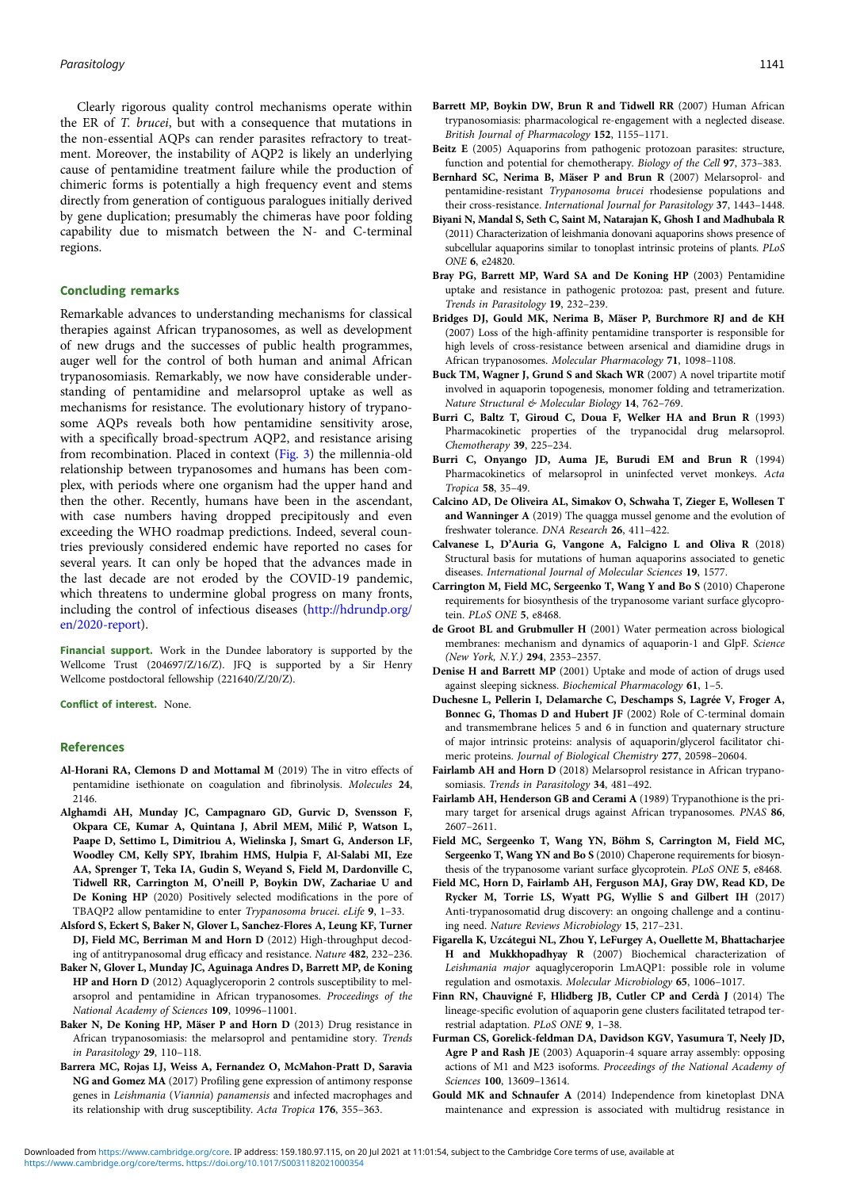<span id="page-4-0"></span>Clearly rigorous quality control mechanisms operate within the ER of T. brucei, but with a consequence that mutations in the non-essential AQPs can render parasites refractory to treatment. Moreover, the instability of AQP2 is likely an underlying cause of pentamidine treatment failure while the production of chimeric forms is potentially a high frequency event and stems directly from generation of contiguous paralogues initially derived by gene duplication; presumably the chimeras have poor folding capability due to mismatch between the N- and C-terminal regions.

# Concluding remarks

Remarkable advances to understanding mechanisms for classical therapies against African trypanosomes, as well as development of new drugs and the successes of public health programmes, auger well for the control of both human and animal African trypanosomiasis. Remarkably, we now have considerable understanding of pentamidine and melarsoprol uptake as well as mechanisms for resistance. The evolutionary history of trypanosome AQPs reveals both how pentamidine sensitivity arose, with a specifically broad-spectrum AQP2, and resistance arising from recombination. Placed in context ([Fig. 3](#page-3-0)) the millennia-old relationship between trypanosomes and humans has been complex, with periods where one organism had the upper hand and then the other. Recently, humans have been in the ascendant, with case numbers having dropped precipitously and even exceeding the WHO roadmap predictions. Indeed, several countries previously considered endemic have reported no cases for several years. It can only be hoped that the advances made in the last decade are not eroded by the COVID-19 pandemic, which threatens to undermine global progress on many fronts, including the control of infectious diseases ([http://hdrundp.org/](http://hdrundp.org/en/2020-report) [en/2020-report\)](http://hdrundp.org/en/2020-report).

Financial support. Work in the Dundee laboratory is supported by the Wellcome Trust (204697/Z/16/Z). JFQ is supported by a Sir Henry Wellcome postdoctoral fellowship (221640/Z/20/Z).

Conflict of interest. None.

#### References

- Al-Horani RA, Clemons D and Mottamal M (2019) The in vitro effects of pentamidine isethionate on coagulation and fibrinolysis. Molecules 24, 2146.
- Alghamdi AH, Munday JC, Campagnaro GD, Gurvic D, Svensson F, Okpara CE, Kumar A, Quintana J, Abril MEM, Milić P, Watson L, Paape D, Settimo L, Dimitriou A, Wielinska J, Smart G, Anderson LF, Woodley CM, Kelly SPY, Ibrahim HMS, Hulpia F, Al-Salabi MI, Eze AA, Sprenger T, Teka IA, Gudin S, Weyand S, Field M, Dardonville C, Tidwell RR, Carrington M, O'neill P, Boykin DW, Zachariae U and De Koning HP (2020) Positively selected modifications in the pore of TBAQP2 allow pentamidine to enter Trypanosoma brucei. eLife 9, 1–33.
- Alsford S, Eckert S, Baker N, Glover L, Sanchez-Flores A, Leung KF, Turner DJ, Field MC, Berriman M and Horn D (2012) High-throughput decoding of antitrypanosomal drug efficacy and resistance. Nature 482, 232–236.
- Baker N, Glover L, Munday JC, Aguinaga Andres D, Barrett MP, de Koning HP and Horn D (2012) Aquaglyceroporin 2 controls susceptibility to melarsoprol and pentamidine in African trypanosomes. Proceedings of the National Academy of Sciences 109, 10996–11001.
- Baker N, De Koning HP, Mäser P and Horn D (2013) Drug resistance in African trypanosomiasis: the melarsoprol and pentamidine story. Trends in Parasitology 29, 110–118.
- Barrera MC, Rojas LJ, Weiss A, Fernandez O, McMahon-Pratt D, Saravia NG and Gomez MA (2017) Profiling gene expression of antimony response genes in Leishmania (Viannia) panamensis and infected macrophages and its relationship with drug susceptibility. Acta Tropica 176, 355–363.
- Barrett MP, Boykin DW, Brun R and Tidwell RR (2007) Human African trypanosomiasis: pharmacological re-engagement with a neglected disease. British Journal of Pharmacology 152, 1155–1171.
- Beitz E (2005) Aquaporins from pathogenic protozoan parasites: structure, function and potential for chemotherapy. Biology of the Cell 97, 373–383.
- Bernhard SC, Nerima B, Mäser P and Brun R (2007) Melarsoprol- and pentamidine-resistant Trypanosoma brucei rhodesiense populations and their cross-resistance. International Journal for Parasitology 37, 1443–1448.
- Biyani N, Mandal S, Seth C, Saint M, Natarajan K, Ghosh I and Madhubala R (2011) Characterization of leishmania donovani aquaporins shows presence of subcellular aquaporins similar to tonoplast intrinsic proteins of plants. PLoS ONE 6, e24820.
- Bray PG, Barrett MP, Ward SA and De Koning HP (2003) Pentamidine uptake and resistance in pathogenic protozoa: past, present and future. Trends in Parasitology 19, 232–239.
- Bridges DJ, Gould MK, Nerima B, Mäser P, Burchmore RJ and de KH (2007) Loss of the high-affinity pentamidine transporter is responsible for high levels of cross-resistance between arsenical and diamidine drugs in African trypanosomes. Molecular Pharmacology 71, 1098–1108.
- Buck TM, Wagner J, Grund S and Skach WR (2007) A novel tripartite motif involved in aquaporin topogenesis, monomer folding and tetramerization. Nature Structural & Molecular Biology 14, 762–769.
- Burri C, Baltz T, Giroud C, Doua F, Welker HA and Brun R (1993) Pharmacokinetic properties of the trypanocidal drug melarsoprol. Chemotherapy 39, 225–234.
- Burri C, Onyango JD, Auma JE, Burudi EM and Brun R (1994) Pharmacokinetics of melarsoprol in uninfected vervet monkeys. Acta Tropica 58, 35–49.
- Calcino AD, De Oliveira AL, Simakov O, Schwaha T, Zieger E, Wollesen T and Wanninger A (2019) The quagga mussel genome and the evolution of freshwater tolerance. DNA Research 26, 411–422.
- Calvanese L, D'Auria G, Vangone A, Falcigno L and Oliva R (2018) Structural basis for mutations of human aquaporins associated to genetic diseases. International Journal of Molecular Sciences 19, 1577.
- Carrington M, Field MC, Sergeenko T, Wang Y and Bo S (2010) Chaperone requirements for biosynthesis of the trypanosome variant surface glycoprotein. PLoS ONE 5, e8468.
- de Groot BL and Grubmuller H (2001) Water permeation across biological membranes: mechanism and dynamics of aquaporin-1 and GlpF. Science (New York, N.Y.) 294, 2353–2357.
- Denise H and Barrett MP (2001) Uptake and mode of action of drugs used against sleeping sickness. Biochemical Pharmacology 61, 1–5.
- Duchesne L, Pellerin I, Delamarche C, Deschamps S, Lagrée V, Froger A, Bonnec G, Thomas D and Hubert JF (2002) Role of C-terminal domain and transmembrane helices 5 and 6 in function and quaternary structure of major intrinsic proteins: analysis of aquaporin/glycerol facilitator chimeric proteins. Journal of Biological Chemistry 277, 20598–20604.
- Fairlamb AH and Horn D (2018) Melarsoprol resistance in African trypanosomiasis. Trends in Parasitology 34, 481-492.
- Fairlamb AH, Henderson GB and Cerami A (1989) Trypanothione is the primary target for arsenical drugs against African trypanosomes. PNAS 86, 2607–2611.
- Field MC, Sergeenko T, Wang YN, Böhm S, Carrington M, Field MC, Sergeenko T, Wang YN and Bo S (2010) Chaperone requirements for biosynthesis of the trypanosome variant surface glycoprotein. PLoS ONE 5, e8468.
- Field MC, Horn D, Fairlamb AH, Ferguson MAJ, Gray DW, Read KD, De Rycker M, Torrie LS, Wyatt PG, Wyllie S and Gilbert IH (2017) Anti-trypanosomatid drug discovery: an ongoing challenge and a continuing need. Nature Reviews Microbiology 15, 217–231.
- Figarella K, Uzcátegui NL, Zhou Y, LeFurgey A, Ouellette M, Bhattacharjee H and Mukkhopadhyay R (2007) Biochemical characterization of Leishmania major aquaglyceroporin LmAQP1: possible role in volume regulation and osmotaxis. Molecular Microbiology 65, 1006–1017.
- Finn RN, Chauvigné F, Hlidberg JB, Cutler CP and Cerdà J (2014) The lineage-specific evolution of aquaporin gene clusters facilitated tetrapod terrestrial adaptation. PLoS ONE 9, 1–38.
- Furman CS, Gorelick-feldman DA, Davidson KGV, Yasumura T, Neely JD, Agre P and Rash JE (2003) Aquaporin-4 square array assembly: opposing actions of M1 and M23 isoforms. Proceedings of the National Academy of Sciences 100, 13609–13614.
- Gould MK and Schnaufer A (2014) Independence from kinetoplast DNA maintenance and expression is associated with multidrug resistance in